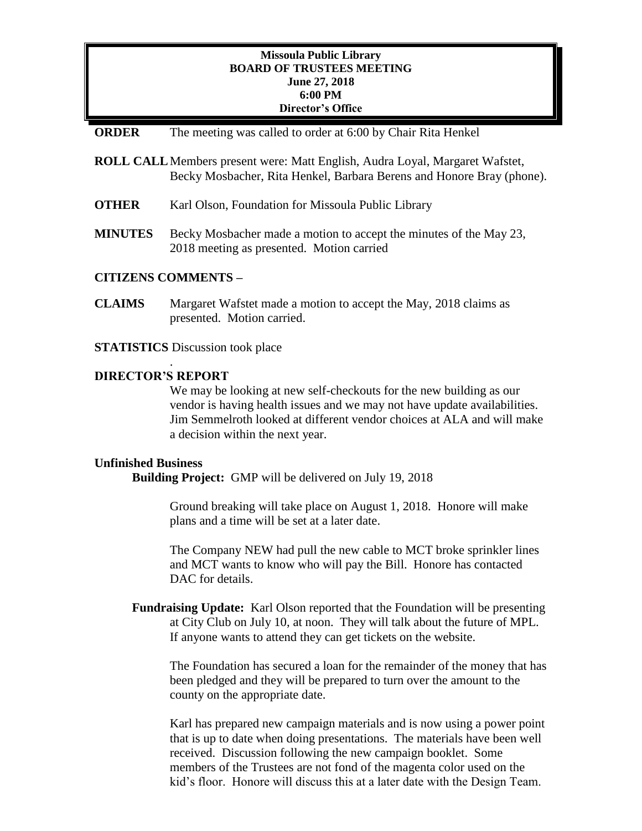## **Missoula Public Library BOARD OF TRUSTEES MEETING June 27, 2018 6:00 PM Director's Office**

### **ORDER** The meeting was called to order at 6:00 by Chair Rita Henkel

- **ROLL CALL**Members present were: Matt English, Audra Loyal, Margaret Wafstet, Becky Mosbacher, Rita Henkel, Barbara Berens and Honore Bray (phone).
- **OTHER** Karl Olson, Foundation for Missoula Public Library
- **MINUTES** Becky Mosbacher made a motion to accept the minutes of the May 23, 2018 meeting as presented. Motion carried

## **CITIZENS COMMENTS –**

**CLAIMS** Margaret Wafstet made a motion to accept the May, 2018 claims as presented. Motion carried.

**STATISTICS** Discussion took place

## **DIRECTOR'S REPORT**

.

We may be looking at new self-checkouts for the new building as our vendor is having health issues and we may not have update availabilities. Jim Semmelroth looked at different vendor choices at ALA and will make a decision within the next year.

#### **Unfinished Business**

**Building Project:** GMP will be delivered on July 19, 2018

Ground breaking will take place on August 1, 2018. Honore will make plans and a time will be set at a later date.

The Company NEW had pull the new cable to MCT broke sprinkler lines and MCT wants to know who will pay the Bill. Honore has contacted DAC for details.

**Fundraising Update:** Karl Olson reported that the Foundation will be presenting at City Club on July 10, at noon. They will talk about the future of MPL. If anyone wants to attend they can get tickets on the website.

The Foundation has secured a loan for the remainder of the money that has been pledged and they will be prepared to turn over the amount to the county on the appropriate date.

Karl has prepared new campaign materials and is now using a power point that is up to date when doing presentations. The materials have been well received. Discussion following the new campaign booklet. Some members of the Trustees are not fond of the magenta color used on the kid's floor. Honore will discuss this at a later date with the Design Team.